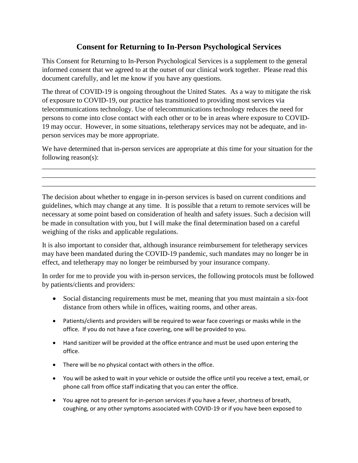## **Consent for Returning to In-Person Psychological Services**

This Consent for Returning to In-Person Psychological Services is a supplement to the general informed consent that we agreed to at the outset of our clinical work together. Please read this document carefully, and let me know if you have any questions.

The threat of COVID-19 is ongoing throughout the United States. As a way to mitigate the risk of exposure to COVID-19, our practice has transitioned to providing most services via telecommunications technology. Use of telecommunications technology reduces the need for persons to come into close contact with each other or to be in areas where exposure to COVID-19 may occur. However, in some situations, teletherapy services may not be adequate, and inperson services may be more appropriate.

We have determined that in-person services are appropriate at this time for your situation for the following reason(s):

\_\_\_\_\_\_\_\_\_\_\_\_\_\_\_\_\_\_\_\_\_\_\_\_\_\_\_\_\_\_\_\_\_\_\_\_\_\_\_\_\_\_\_\_\_\_\_\_\_\_\_\_\_\_\_\_\_\_\_\_\_\_\_\_\_\_\_\_\_\_\_\_\_\_\_\_\_\_ \_\_\_\_\_\_\_\_\_\_\_\_\_\_\_\_\_\_\_\_\_\_\_\_\_\_\_\_\_\_\_\_\_\_\_\_\_\_\_\_\_\_\_\_\_\_\_\_\_\_\_\_\_\_\_\_\_\_\_\_\_\_\_\_\_\_\_\_\_\_\_\_\_\_\_\_\_\_ \_\_\_\_\_\_\_\_\_\_\_\_\_\_\_\_\_\_\_\_\_\_\_\_\_\_\_\_\_\_\_\_\_\_\_\_\_\_\_\_\_\_\_\_\_\_\_\_\_\_\_\_\_\_\_\_\_\_\_\_\_\_\_\_\_\_\_\_\_\_\_\_\_\_\_\_\_\_

The decision about whether to engage in in-person services is based on current conditions and guidelines, which may change at any time. It is possible that a return to remote services will be necessary at some point based on consideration of health and safety issues. Such a decision will be made in consultation with you, but I will make the final determination based on a careful weighing of the risks and applicable regulations.

It is also important to consider that, although insurance reimbursement for teletherapy services may have been mandated during the COVID-19 pandemic, such mandates may no longer be in effect, and teletherapy may no longer be reimbursed by your insurance company.

In order for me to provide you with in-person services, the following protocols must be followed by patients/clients and providers:

- Social distancing requirements must be met, meaning that you must maintain a six-foot distance from others while in offices, waiting rooms, and other areas.
- Patients/clients and providers will be required to wear face coverings or masks while in the office. If you do not have a face covering, one will be provided to you.
- Hand sanitizer will be provided at the office entrance and must be used upon entering the office.
- There will be no physical contact with others in the office.
- You will be asked to wait in your vehicle or outside the office until you receive a text, email, or phone call from office staff indicating that you can enter the office.
- You agree not to present for in-person services if you have a fever, shortness of breath, coughing, or any other symptoms associated with COVID-19 or if you have been exposed to